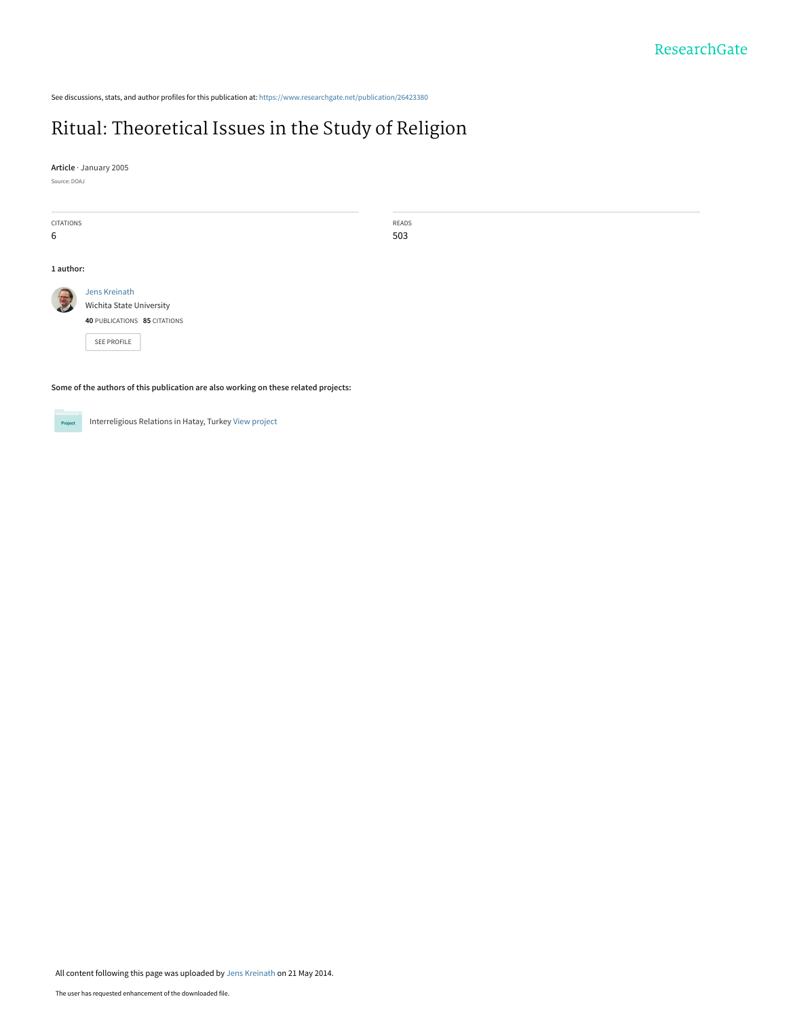See discussions, stats, and author profiles for this publication at: [https://www.researchgate.net/publication/26423380](https://www.researchgate.net/publication/26423380_Ritual_Theoretical_Issues_in_the_Study_of_Religion?enrichId=rgreq-148767564f97d94fc11321b03e1bac55-XXX&enrichSource=Y292ZXJQYWdlOzI2NDIzMzgwO0FTOjk5MjYxNjI2NzE2MTcxQDE0MDA2NzcyMjQ1MjE%3D&el=1_x_2&_esc=publicationCoverPdf)

## [Ritual: Theoretical Issues in the Study of Religion](https://www.researchgate.net/publication/26423380_Ritual_Theoretical_Issues_in_the_Study_of_Religion?enrichId=rgreq-148767564f97d94fc11321b03e1bac55-XXX&enrichSource=Y292ZXJQYWdlOzI2NDIzMzgwO0FTOjk5MjYxNjI2NzE2MTcxQDE0MDA2NzcyMjQ1MjE%3D&el=1_x_3&_esc=publicationCoverPdf)

READS 503

**Article** · January 2005

Source: DOAJ

6

CITATIONS **1 author:** [Jens Kreinath](https://www.researchgate.net/profile/Jens_Kreinath?enrichId=rgreq-148767564f97d94fc11321b03e1bac55-XXX&enrichSource=Y292ZXJQYWdlOzI2NDIzMzgwO0FTOjk5MjYxNjI2NzE2MTcxQDE0MDA2NzcyMjQ1MjE%3D&el=1_x_5&_esc=publicationCoverPdf) [Wichita State University](https://www.researchgate.net/institution/Wichita_State_University?enrichId=rgreq-148767564f97d94fc11321b03e1bac55-XXX&enrichSource=Y292ZXJQYWdlOzI2NDIzMzgwO0FTOjk5MjYxNjI2NzE2MTcxQDE0MDA2NzcyMjQ1MjE%3D&el=1_x_6&_esc=publicationCoverPdf) **40** PUBLICATIONS **85** CITATIONS [SEE PROFILE](https://www.researchgate.net/profile/Jens_Kreinath?enrichId=rgreq-148767564f97d94fc11321b03e1bac55-XXX&enrichSource=Y292ZXJQYWdlOzI2NDIzMzgwO0FTOjk5MjYxNjI2NzE2MTcxQDE0MDA2NzcyMjQ1MjE%3D&el=1_x_7&_esc=publicationCoverPdf)

**Some of the authors of this publication are also working on these related projects:**

Project

Interreligious Relations in Hatay, Turkey [View project](https://www.researchgate.net/project/Interreligious-Relations-in-Hatay-Turkey?enrichId=rgreq-148767564f97d94fc11321b03e1bac55-XXX&enrichSource=Y292ZXJQYWdlOzI2NDIzMzgwO0FTOjk5MjYxNjI2NzE2MTcxQDE0MDA2NzcyMjQ1MjE%3D&el=1_x_9&_esc=publicationCoverPdf)

All content following this page was uploaded by [Jens Kreinath](https://www.researchgate.net/profile/Jens_Kreinath?enrichId=rgreq-148767564f97d94fc11321b03e1bac55-XXX&enrichSource=Y292ZXJQYWdlOzI2NDIzMzgwO0FTOjk5MjYxNjI2NzE2MTcxQDE0MDA2NzcyMjQ1MjE%3D&el=1_x_10&_esc=publicationCoverPdf) on 21 May 2014.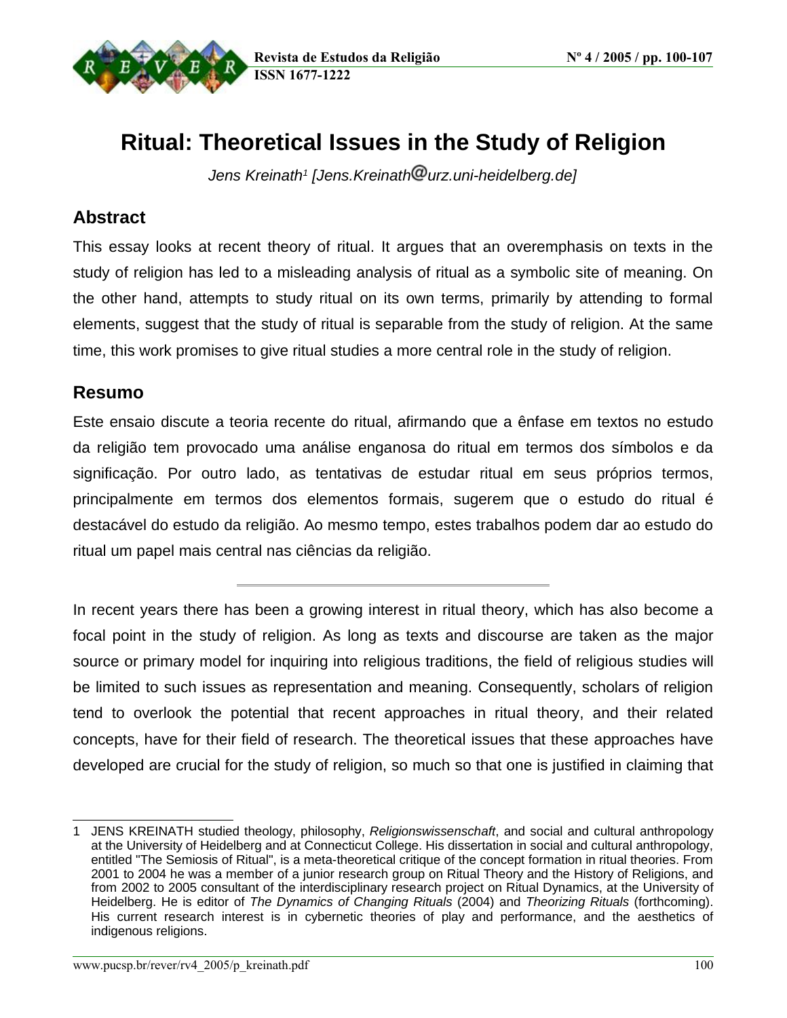

# **Ritual: Theoretical Issues in the Study of Religion**

Jens Kreinath<sup>1</sup> [Jens.Kreinath<sup>@</sup>urz.uni-heidelberg.de]

#### **Abstract**

This essay looks at recent theory of ritual. It argues that an overemphasis on texts in the study of religion has led to a misleading analysis of ritual as a symbolic site of meaning. On the other hand, attempts to study ritual on its own terms, primarily by attending to formal elements, suggest that the study of ritual is separable from the study of religion. At the same time, this work promises to give ritual studies a more central role in the study of religion.

#### **Resumo**

Este ensaio discute a teoria recente do ritual, afirmando que a ênfase em textos no estudo da religião tem provocado uma análise enganosa do ritual em termos dos símbolos e da significação. Por outro lado, as tentativas de estudar ritual em seus próprios termos, principalmente em termos dos elementos formais, sugerem que o estudo do ritual é destacável do estudo da religião. Ao mesmo tempo, estes trabalhos podem dar ao estudo do ritual um papel mais central nas ciências da religião.

In recent years there has been a growing interest in ritual theory, which has also become a focal point in the study of religion. As long as texts and discourse are taken as the major source or primary model for inquiring into religious traditions, the field of religious studies will be limited to such issues as representation and meaning. Consequently, scholars of religion tend to overlook the potential that recent approaches in ritual theory, and their related concepts, have for their field of research. The theoretical issues that these approaches have developed are crucial for the study of religion, so much so that one is justified in claiming that

<sup>1</sup> JENS KREINATH studied theology, philosophy, Religionswissenschaft, and social and cultural anthropology at the University of Heidelberg and at Connecticut College. His dissertation in social and cultural anthropology, entitled "The Semiosis of Ritual", is a meta-theoretical critique of the concept formation in ritual theories. From 2001 to 2004 he was a member of a junior research group on Ritual Theory and the History of Religions, and from 2002 to 2005 consultant of the interdisciplinary research project on Ritual Dynamics, at the University of Heidelberg. He is editor of The Dynamics of Changing Rituals (2004) and Theorizing Rituals (forthcoming). His current research interest is in cybernetic theories of play and performance, and the aesthetics of indigenous religions.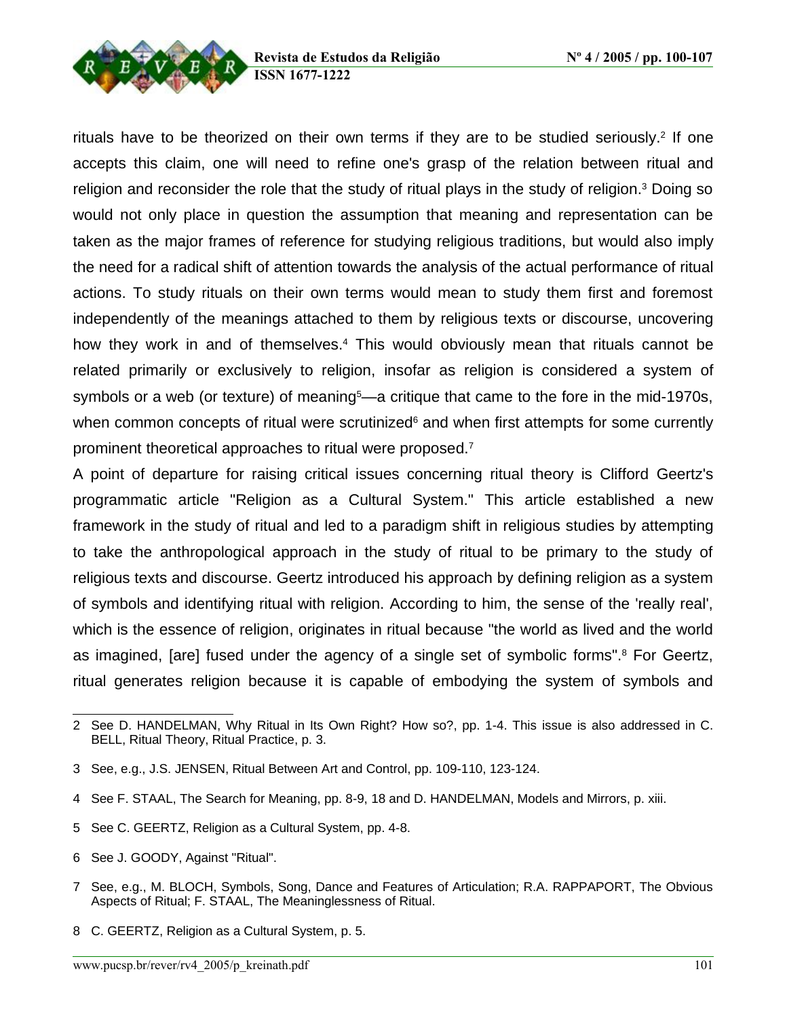rituals have to be theorized on their own terms if they are to be studied seriously.<sup>2</sup> If one accepts this claim, one will need to refine one's grasp of the relation between ritual and religion and reconsider the role that the study of ritual plays in the study of religion.<sup>3</sup> Doing so would not only place in question the assumption that meaning and representation can be taken as the major frames of reference for studying religious traditions, but would also imply the need for a radical shift of attention towards the analysis of the actual performance of ritual actions. To study rituals on their own terms would mean to study them first and foremost independently of the meanings attached to them by religious texts or discourse, uncovering how they work in and of themselves.<sup>4</sup> This would obviously mean that rituals cannot be related primarily or exclusively to religion, insofar as religion is considered a system of symbols or a web (or texture) of meaning<sup>5</sup>—a critique that came to the fore in the mid-1970s, when common concepts of ritual were scrutinized<sup>6</sup> and when first attempts for some currently prominent theoretical approaches to ritual were proposed. 7

A point of departure for raising critical issues concerning ritual theory is Clifford Geertz's programmatic article "Religion as a Cultural System." This article established a new framework in the study of ritual and led to a paradigm shift in religious studies by attempting to take the anthropological approach in the study of ritual to be primary to the study of religious texts and discourse. Geertz introduced his approach by defining religion as a system of symbols and identifying ritual with religion. According to him, the sense of the 'really real', which is the essence of religion, originates in ritual because "the world as lived and the world as imagined, [are] fused under the agency of a single set of symbolic forms". <sup>8</sup> For Geertz, ritual generates religion because it is capable of embodying the system of symbols and

- 5 See C. GEERTZ, Religion as a Cultural System, pp. 4-8.
- 6 See J. GOODY, Against "Ritual".

<sup>2</sup> See D. HANDELMAN, Why Ritual in Its Own Right? How so?, pp. 1-4. This issue is also addressed in C. BELL, Ritual Theory, Ritual Practice, p. 3.

<sup>3</sup> See, e.g., J.S. JENSEN, Ritual Between Art and Control, pp. 109-110, 123-124.

<sup>4</sup> See F. STAAL, The Search for Meaning, pp. 8-9, 18 and D. HANDELMAN, Models and Mirrors, p. xiii.

<sup>7</sup> See, e.g., M. BLOCH, Symbols, Song, Dance and Features of Articulation; R.A. RAPPAPORT, The Obvious Aspects of Ritual; F. STAAL, The Meaninglessness of Ritual.

<sup>8</sup> C. GEERTZ, Religion as a Cultural System, p. 5.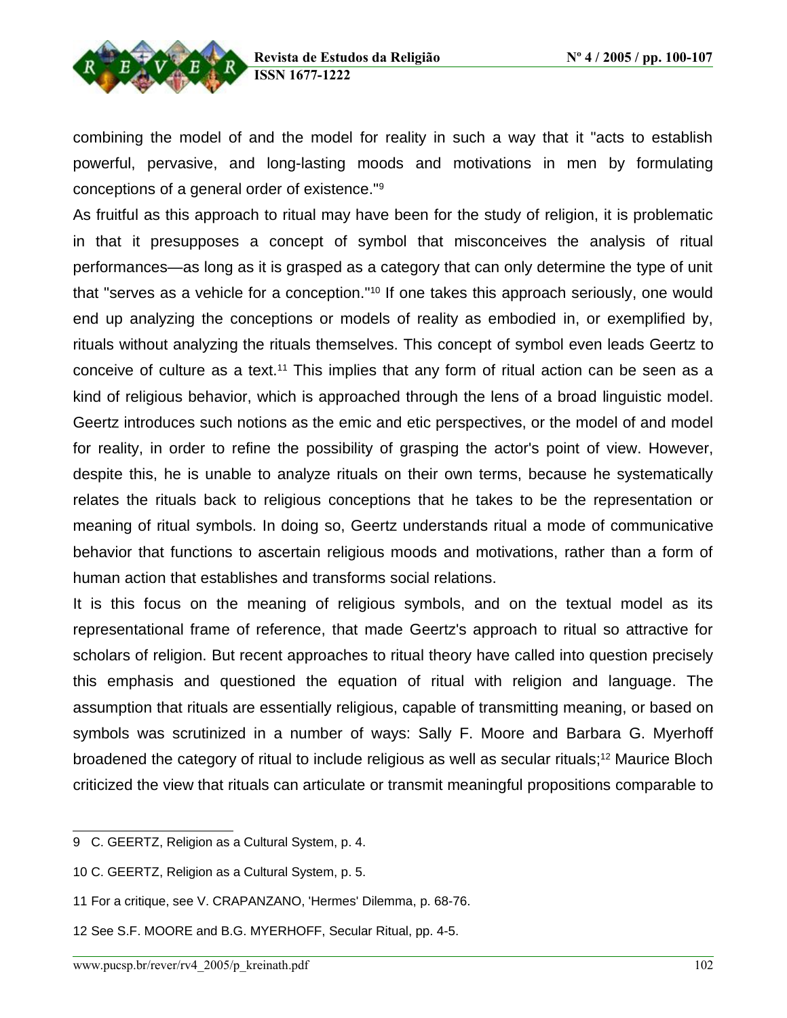

combining the model of and the model for reality in such a way that it "acts to establish powerful, pervasive, and long-lasting moods and motivations in men by formulating conceptions of a general order of existence." 9

As fruitful as this approach to ritual may have been for the study of religion, it is problematic in that it presupposes a concept of symbol that misconceives the analysis of ritual performances—as long as it is grasped as a category that can only determine the type of unit that "serves as a vehicle for a conception."<sup>10</sup> If one takes this approach seriously, one would end up analyzing the conceptions or models of reality as embodied in, or exemplified by, rituals without analyzing the rituals themselves. This concept of symbol even leads Geertz to conceive of culture as a text.<sup>11</sup> This implies that any form of ritual action can be seen as a kind of religious behavior, which is approached through the lens of a broad linguistic model. Geertz introduces such notions as the emic and etic perspectives, or the model of and model for reality, in order to refine the possibility of grasping the actor's point of view. However, despite this, he is unable to analyze rituals on their own terms, because he systematically relates the rituals back to religious conceptions that he takes to be the representation or meaning of ritual symbols. In doing so, Geertz understands ritual a mode of communicative behavior that functions to ascertain religious moods and motivations, rather than a form of human action that establishes and transforms social relations.

It is this focus on the meaning of religious symbols, and on the textual model as its representational frame of reference, that made Geertz's approach to ritual so attractive for scholars of religion. But recent approaches to ritual theory have called into question precisely this emphasis and questioned the equation of ritual with religion and language. The assumption that rituals are essentially religious, capable of transmitting meaning, or based on symbols was scrutinized in a number of ways: Sally F. Moore and Barbara G. Myerhoff broadened the category of ritual to include religious as well as secular rituals;<sup>12</sup> Maurice Bloch criticized the view that rituals can articulate or transmit meaningful propositions comparable to

<sup>9</sup> C. GEERTZ, Religion as a Cultural System, p. 4.

<sup>10</sup> C. GEERTZ, Religion as a Cultural System, p. 5.

<sup>11</sup> For a critique, see V. CRAPANZANO, 'Hermes' Dilemma, p. 68-76.

<sup>12</sup> See S.F. MOORE and B.G. MYERHOFF, Secular Ritual, pp. 4-5.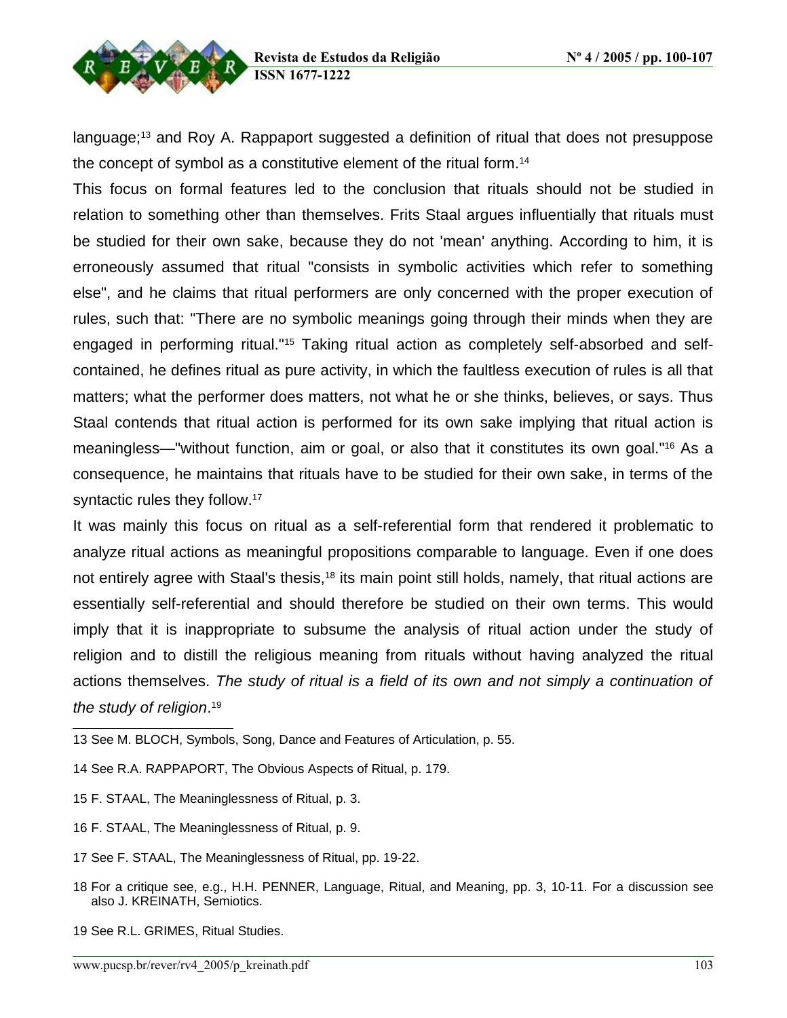

language;<sup>13</sup> and Roy A. Rappaport suggested a definition of ritual that does not presuppose the concept of symbol as a constitutive element of the ritual form.<sup>14</sup>

This focus on formal features led to the conclusion that rituals should not be studied in relation to something other than themselves. Frits Staal argues influentially that rituals must be studied for their own sake, because they do not 'mean' anything. According to him, it is erroneously assumed that ritual "consists in symbolic activities which refer to something else", and he claims that ritual performers are only concerned with the proper execution of rules, such that: "There are no symbolic meanings going through their minds when they are engaged in performing ritual."<sup>15</sup> Taking ritual action as completely self-absorbed and selfcontained, he defines ritual as pure activity, in which the faultless execution of rules is all that matters; what the performer does matters, not what he or she thinks, believes, or says. Thus Staal contends that ritual action is performed for its own sake implying that ritual action is meaningless—"without function, aim or goal, or also that it constitutes its own goal."<sup>16</sup> As a consequence, he maintains that rituals have to be studied for their own sake, in terms of the syntactic rules they follow.<sup>17</sup>

It was mainly this focus on ritual as a self-referential form that rendered it problematic to analyze ritual actions as meaningful propositions comparable to language. Even if one does not entirely agree with Staal's thesis,<sup>18</sup> its main point still holds, namely, that ritual actions are essentially self-referential and should therefore be studied on their own terms. This would imply that it is inappropriate to subsume the analysis of ritual action under the study of religion and to distill the religious meaning from rituals without having analyzed the ritual actions themselves. The study of ritual is a field of its own and not simply a continuation of the study of religion. 19

- 13 See M. BLOCH, Symbols, Song, Dance and Features of Articulation, p. 55.
- 14 See R.A. RAPPAPORT, The Obvious Aspects of Ritual, p. 179.
- 15 F. STAAL, The Meaninglessness of Ritual, p. 3.
- 16 F. STAAL, The Meaninglessness of Ritual, p. 9.
- 17 See F. STAAL, The Meaninglessness of Ritual, pp. 19-22.
- 18 For a critique see, e.g., H.H. PENNER, Language, Ritual, and Meaning, pp. 3, 10-11. For a discussion see also J. KREINATH, Semiotics.
- 19 See R.L. GRIMES, Ritual Studies.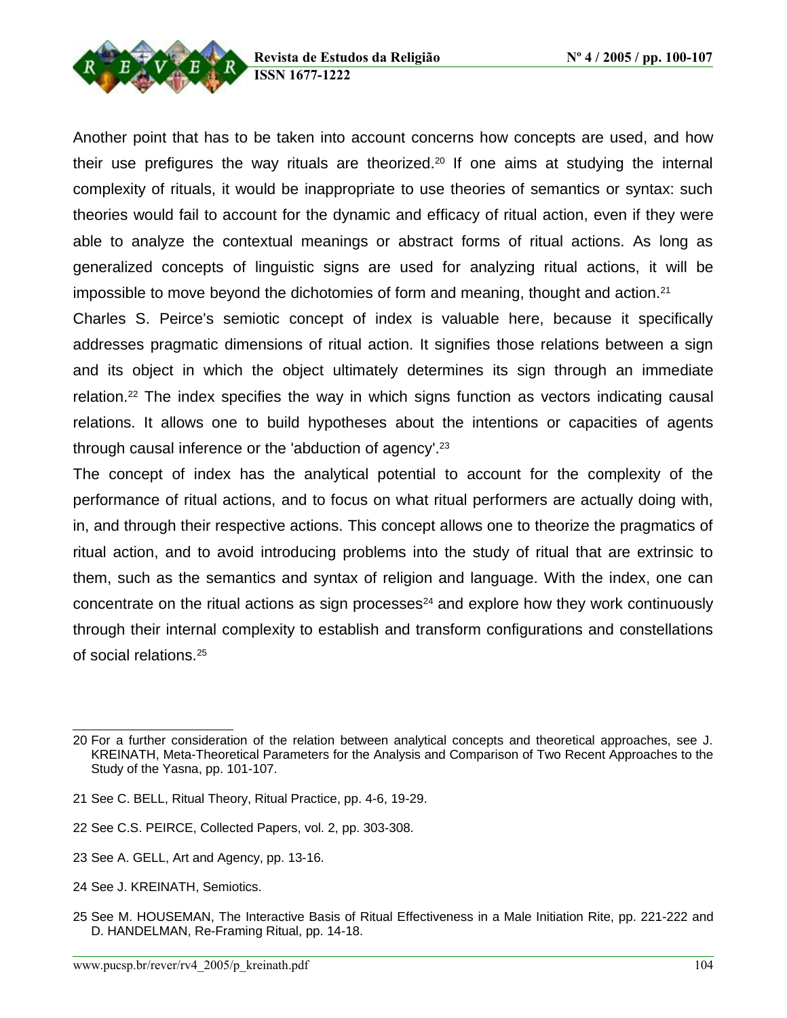

Another point that has to be taken into account concerns how concepts are used, and how their use prefigures the way rituals are theorized.<sup>20</sup> If one aims at studying the internal complexity of rituals, it would be inappropriate to use theories of semantics or syntax: such theories would fail to account for the dynamic and efficacy of ritual action, even if they were able to analyze the contextual meanings or abstract forms of ritual actions. As long as generalized concepts of linguistic signs are used for analyzing ritual actions, it will be impossible to move beyond the dichotomies of form and meaning, thought and action.<sup>21</sup>

Charles S. Peirce's semiotic concept of index is valuable here, because it specifically addresses pragmatic dimensions of ritual action. It signifies those relations between a sign and its object in which the object ultimately determines its sign through an immediate relation.<sup>22</sup> The index specifies the way in which signs function as vectors indicating causal relations. It allows one to build hypotheses about the intentions or capacities of agents through causal inference or the 'abduction of agency'. 23

The concept of index has the analytical potential to account for the complexity of the performance of ritual actions, and to focus on what ritual performers are actually doing with, in, and through their respective actions. This concept allows one to theorize the pragmatics of ritual action, and to avoid introducing problems into the study of ritual that are extrinsic to them, such as the semantics and syntax of religion and language. With the index, one can concentrate on the ritual actions as sign processes <sup>24</sup> and explore how they work continuously through their internal complexity to establish and transform configurations and constellations of social relations. 25

- 22 See C.S. PEIRCE, Collected Papers, vol. 2, pp. 303-308.
- 23 See A. GELL, Art and Agency, pp. 13-16.
- 24 See J. KREINATH, Semiotics.

<sup>20</sup> For a further consideration of the relation between analytical concepts and theoretical approaches, see J. KREINATH, Meta-Theoretical Parameters for the Analysis and Comparison of Two Recent Approaches to the Study of the Yasna, pp. 101-107.

<sup>21</sup> See C. BELL, Ritual Theory, Ritual Practice, pp. 4-6, 19-29.

<sup>25</sup> See M. HOUSEMAN, The Interactive Basis of Ritual Effectiveness in a Male Initiation Rite, pp. 221-222 and D. HANDELMAN, Re-Framing Ritual, pp. 14-18.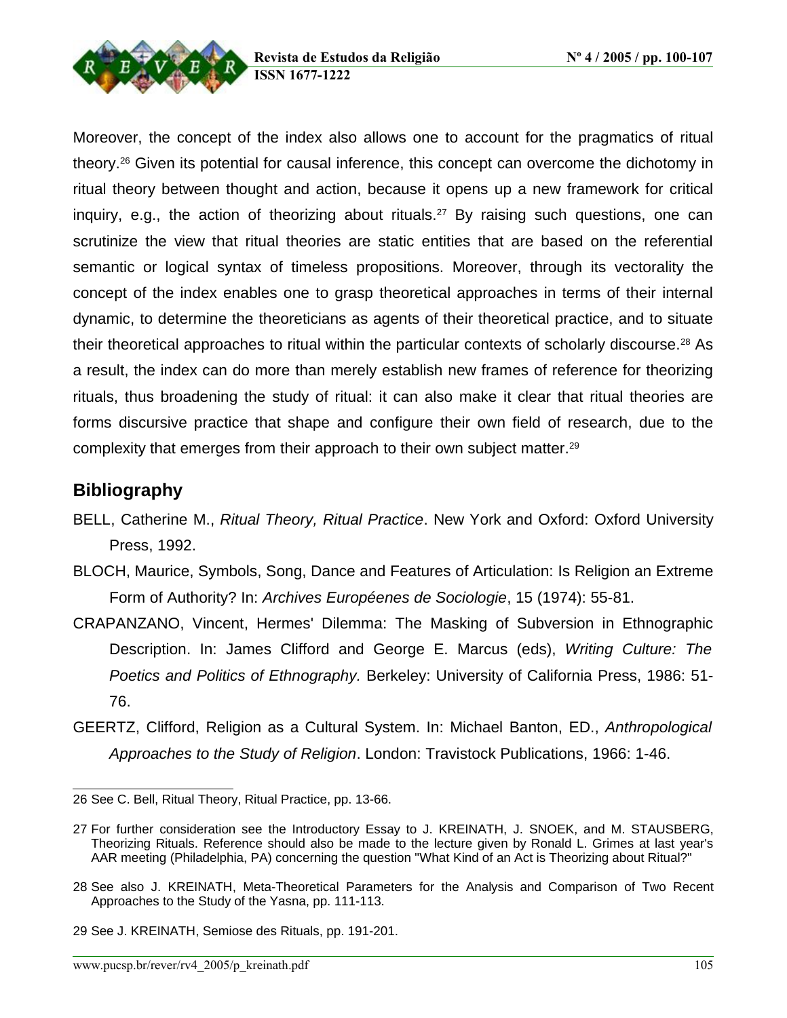



Moreover, the concept of the index also allows one to account for the pragmatics of ritual theory.<sup>26</sup> Given its potential for causal inference, this concept can overcome the dichotomy in ritual theory between thought and action, because it opens up a new framework for critical inquiry, e.g., the action of theorizing about rituals.<sup>27</sup> By raising such questions, one can scrutinize the view that ritual theories are static entities that are based on the referential semantic or logical syntax of timeless propositions. Moreover, through its vectorality the concept of the index enables one to grasp theoretical approaches in terms of their internal dynamic, to determine the theoreticians as agents of their theoretical practice, and to situate their theoretical approaches to ritual within the particular contexts of scholarly discourse. <sup>28</sup> As a result, the index can do more than merely establish new frames of reference for theorizing rituals, thus broadening the study of ritual: it can also make it clear that ritual theories are forms discursive practice that shape and configure their own field of research, due to the complexity that emerges from their approach to their own subject matter. 29

### **Bibliography**

- BELL, Catherine M., Ritual Theory, Ritual Practice. New York and Oxford: Oxford University Press, 1992.
- BLOCH, Maurice, Symbols, Song, Dance and Features of Articulation: Is Religion an Extreme Form of Authority? In: Archives Européenes de Sociologie, 15 (1974): 55-81.
- CRAPANZANO, Vincent, Hermes' Dilemma: The Masking of Subversion in Ethnographic Description. In: James Clifford and George E. Marcus (eds), Writing Culture: The Poetics and Politics of Ethnography. Berkeley: University of California Press, 1986: 51- 76.
- GEERTZ, Clifford, Religion as a Cultural System. In: Michael Banton, ED., Anthropological Approaches to the Study of Religion. London: Travistock Publications, 1966: 1-46.

<sup>26</sup> See C. Bell, Ritual Theory, Ritual Practice, pp. 13-66.

<sup>27</sup> For further consideration see the Introductory Essay to J. KREINATH, J. SNOEK, and M. STAUSBERG, Theorizing Rituals. Reference should also be made to the lecture given by Ronald L. Grimes at last year's AAR meeting (Philadelphia, PA) concerning the question "What Kind of an Act is Theorizing about Ritual?"

<sup>28</sup> See also J. KREINATH, Meta-Theoretical Parameters for the Analysis and Comparison of Two Recent Approaches to the Study of the Yasna, pp. 111-113.

<sup>29</sup> See J. KREINATH, Semiose des Rituals, pp. 191-201.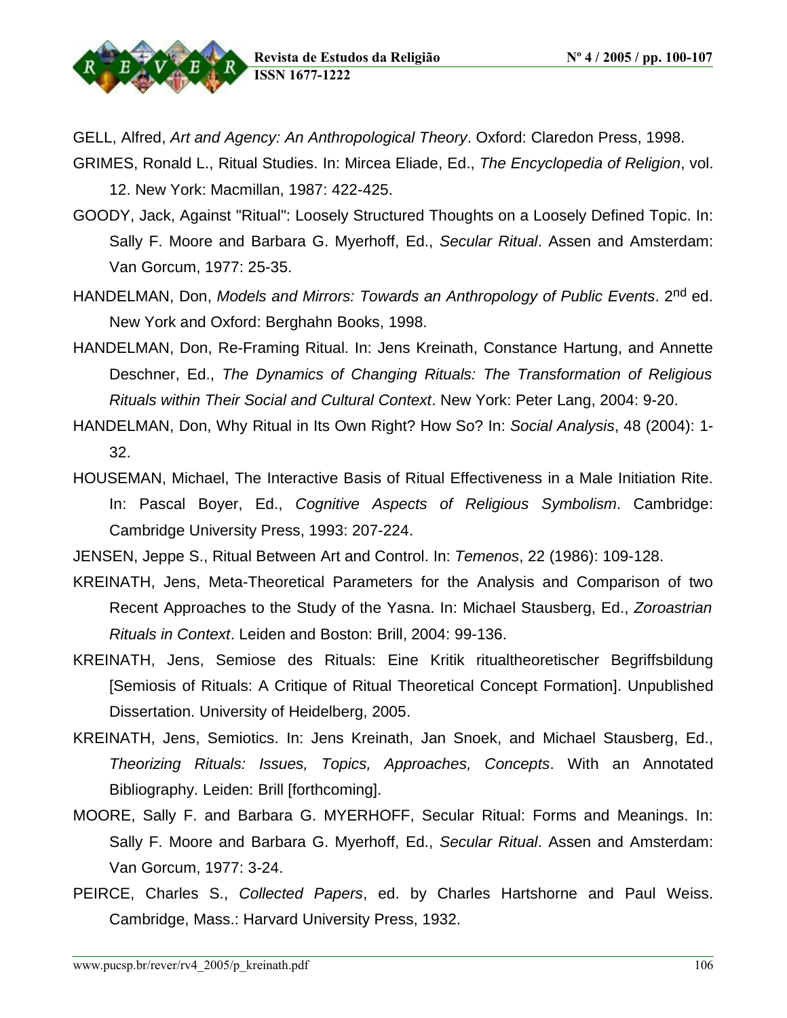

GELL, Alfred, Art and Agency: An Anthropological Theory. Oxford: Claredon Press, 1998.

- GRIMES, Ronald L., Ritual Studies. In: Mircea Eliade, Ed., The Encyclopedia of Religion, vol. 12. New York: Macmillan, 1987: 422-425.
- GOODY, Jack, Against "Ritual": Loosely Structured Thoughts on a Loosely Defined Topic. In: Sally F. Moore and Barbara G. Myerhoff, Ed., Secular Ritual. Assen and Amsterdam: Van Gorcum, 1977: 25-35.
- HANDELMAN, Don, Models and Mirrors: Towards an Anthropology of Public Events. 2<sup>nd</sup> ed. New York and Oxford: Berghahn Books, 1998.
- HANDELMAN, Don, Re-Framing Ritual. In: Jens Kreinath, Constance Hartung, and Annette Deschner, Ed., The Dynamics of Changing Rituals: The Transformation of Religious Rituals within Their Social and Cultural Context. New York: Peter Lang, 2004: 9-20.
- HANDELMAN, Don, Why Ritual in Its Own Right? How So? In: Social Analysis, 48 (2004): 1- 32.
- HOUSEMAN, Michael, The Interactive Basis of Ritual Effectiveness in a Male Initiation Rite. In: Pascal Boyer, Ed., Cognitive Aspects of Religious Symbolism. Cambridge: Cambridge University Press, 1993: 207-224.
- JENSEN, Jeppe S., Ritual Between Art and Control. In: Temenos, 22 (1986): 109-128.
- KREINATH, Jens, Meta-Theoretical Parameters for the Analysis and Comparison of two Recent Approaches to the Study of the Yasna. In: Michael Stausberg, Ed., Zoroastrian Rituals in Context. Leiden and Boston: Brill, 2004: 99-136.
- KREINATH, Jens, Semiose des Rituals: Eine Kritik ritualtheoretischer Begriffsbildung [Semiosis of Rituals: A Critique of Ritual Theoretical Concept Formation]. Unpublished Dissertation. University of Heidelberg, 2005.
- KREINATH, Jens, Semiotics. In: Jens Kreinath, Jan Snoek, and Michael Stausberg, Ed., Theorizing Rituals: Issues, Topics, Approaches, Concepts. With an Annotated Bibliography. Leiden: Brill [forthcoming].
- MOORE, Sally F. and Barbara G. MYERHOFF, Secular Ritual: Forms and Meanings. In: Sally F. Moore and Barbara G. Myerhoff, Ed., Secular Ritual. Assen and Amsterdam: Van Gorcum, 1977: 3-24.
- PEIRCE, Charles S., Collected Papers, ed. by Charles Hartshorne and Paul Weiss. Cambridge, Mass.: Harvard University Press, 1932.